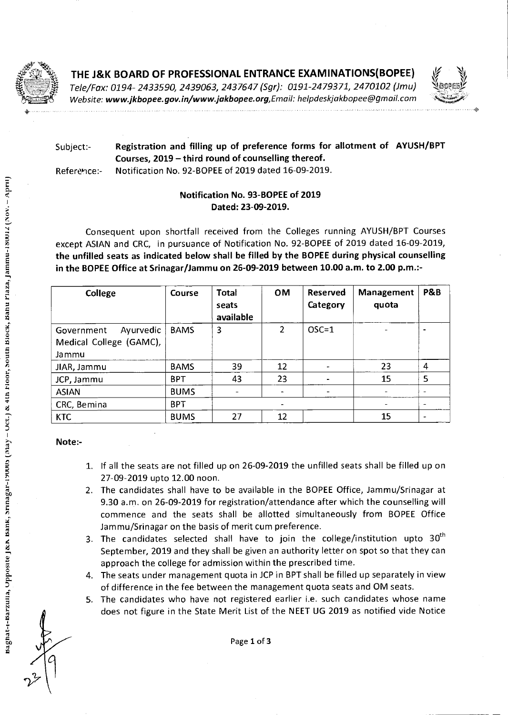

## THE J&K BOARD OF PROFESSIONAL ENTRANCE EXAMINATIONS(BOPEE)

Tele/Fax: 0194- 2433590, 2439063, 2437647 (Sgr): 0191-2479371, 2470102 (Jmu) Website: **www.jkbopee.gov.in/www.jakbopee.org,Emaik** helpdeskjakbopee@gmaiLcom



•

# Subject:- **Registration and filling up of preference forms for allotment of AYUSH/BPT Courses, 2019 — third round of counselling thereof.**

Reference:- Notification No. 92-BOPEE of 2019 dated 16-09-2019.

## **Notification No. 93-BOPEE of 2019 Dated: 23-09-2019.**

Consequent upon shortfall received from the Colleges running AYUSH/BPT Courses except ASIAN and CRC, in pursuance of Notification No. 92-BOPEE of 2019 dated 16-09-2019, **the unfilled seats as indicated below shall be filled by the BOPEE during physical counselling in the BOPEE Office at Srinagar/Jammu on 26-09-2019 between 10.00 a.m. to 2.00 p.m.:-** 

| College                                                     | Course      | <b>Total</b><br>seats<br>available | <b>OM</b>      | Reserved<br>Category | Management<br>quota      | P&B                      |
|-------------------------------------------------------------|-------------|------------------------------------|----------------|----------------------|--------------------------|--------------------------|
| Ayurvedic<br>Government<br>Medical College (GAMC),<br>Jammu | <b>BAMS</b> | 3                                  | $\overline{2}$ | $OSC=1$              | $\overline{\phantom{0}}$ | $\overline{\phantom{0}}$ |
| JIAR, Jammu                                                 | <b>BAMS</b> | 39                                 | 12             |                      | 23                       | $\overline{4}$           |
| JCP, Jammu                                                  | <b>BPT</b>  | 43                                 | 23             |                      | 15                       | 5                        |
| <b>ASIAN</b>                                                | <b>BUMS</b> |                                    |                |                      |                          |                          |
| CRC, Bemina                                                 | <b>BPT</b>  |                                    |                |                      | $\qquad \qquad$          |                          |
| KTC                                                         | <b>BUMS</b> | 27                                 | 12             |                      | 15                       | $\blacksquare$           |

**Note:-** 

- 1. If all the seats are not filled up on 26-09-2019 the unfilled seats shall be filled up on 27-09-2019 upto 12.00 noon.
- 2. The candidates shall have to be available in the BOPEE Office, Jammu/Srinagar at 9.30 a.m. on 26-09-2019 for registration/attendance after which the counselling will commence and the seats shall be allotted simultaneously from BOPEE Office Jammu/Srinagar on the basis of merit cum preference.
- 3. The candidates selected shall have to join the college/institution upto  $30<sup>th</sup>$ September, 2019 and they shall be given an authority letter on spot so that they can approach the college for admission within the prescribed time.
- 4. The seats under management quota in JCP in BPT shall be filled up separately in view of difference in the fee between the management quota seats and OM seats.
- 5. The candidates who have not registered earlier i.e. such candidates whose name does not figure in the State Merit List of the NEET UG 2019 as notified vide Notice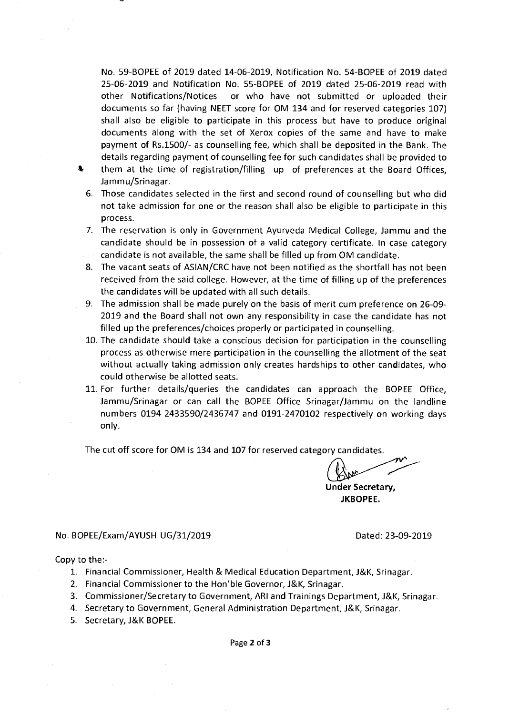No. 59-BOPEE of 2019 dated 14-06-2019, Notification No. 54-BOPEE of 2019 dated 25-06-2019 and Notification No. 55-BOPEE of 2019 dated 25-06-2019 read with other Notifications/Notices or who have not submitted or uploaded their documents so far (having NEET score for OM 134 and for reserved categories 107) shall also be eligible to participate in this process but have to produce original documents along with the set of Xerox copies of the same and have to make payment of Rs.1500/- as counselling fee, which shall be deposited in the Bank. The details regarding payment of counselling fee for such candidates shall be provided to *%* them at the time of registration/filling up of preferences at the Board Offices,

Jammu/Srinagar.

- 6. Those candidates selected in the first and second round of counselling but who did not take admission for one or the reason shall also be eligible to participate in this process.
- 7. The reservation is only in Government Ayurveda Medical College, Jammu and the candidate should be in possession of a valid category certificate. In case category candidate is not available, the same shall be filled up from OM candidate.
- 8. The vacant seats of ASIAN/CRC have not been notified as the shortfall has not been received from the said college. However, at the time of filling up of the preferences the candidates will be updated with all such details.
- 9. The admission shall be made purely on the basis of merit cum preference on 26-09- 2019 and the Board shall not own any responsibility in case the candidate has not filled up the preferences/choices properly or participated in counselling.
- 10. The candidate should take a conscious decision for participation in the counselling process as otherwise mere participation in the counselling the allotment of the seat without actually taking admission only creates hardships to other candidates, who could otherwise be allotted seats.
- 11. For further details/queries the candidates can approach the BOPEE Office, Jammu/Srinagar or can call the BOPEE Office Srinagar/Jammu on the landline numbers 0194-2433590/2436747 and 0191-2470102 respectively on working days only.

The cut off score for OM is 134 and 107 for reserved category candidates.

**Under Secretary, JKBOPEE.** 

### No. BOPEE/Exam/AYUSH-UG/31/2019 Dated: 23-09-2019

### Copy to the:-

- 1. Financial Commissioner, Health & Medical Education Department, J&K, Srinagar.
- 2. Financial Commissioner to the Hon'ble Governor, J&K, Srinagar.
- 3. Commissioner/Secretary to Government, ARI and Trainings Department, J&K, Srinagar.
- 4. Secretary to Government, General Administration Department, J&K, Srinagar.
- 5. Secretary, J&K BOPEE.